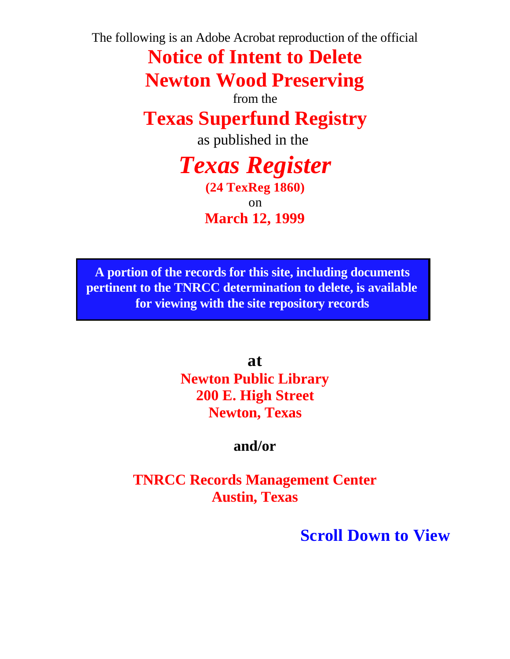The following is an Adobe Acrobat reproduction of the official

**Notice of Intent to Delete Newton Wood Preserving**

from the

**Texas Superfund Registry**

as published in the

*Texas Register*

**(24 TexReg 1860)** on **March 12, 1999**

**A portion of the records for this site, including documents pertinent to the TNRCC determination to delete, is available for viewing with the site repository records**

> **at Newton Public Library 200 E. High Street Newton, Texas**

> > **and/or**

**TNRCC Records Management Center Austin, Texas**

**Scroll Down to View**